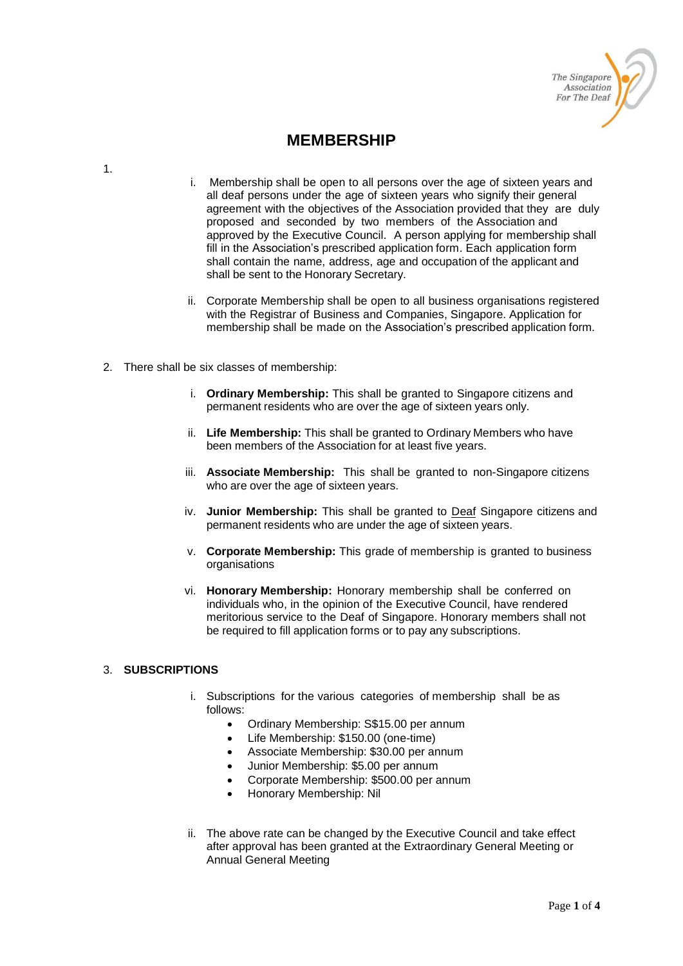

# **MEMBERSHIP**

1.

- i. Membership shall be open to all persons over the age of sixteen years and all deaf persons under the age of sixteen years who signify their general agreement with the objectives of the Association provided that they are duly proposed and seconded by two members of the Association and approved by the Executive Council. A person applying for membership shall fill in the Association's prescribed application form. Each application form shall contain the name, address, age and occupation of the applicant and shall be sent to the Honorary Secretary.
- ii. Corporate Membership shall be open to all business organisations registered with the Registrar of Business and Companies, Singapore. Application for membership shall be made on the Association's prescribed application form.
- 2. There shall be six classes of membership:
	- i. **Ordinary Membership:** This shall be granted to Singapore citizens and permanent residents who are over the age of sixteen years only.
	- ii. **Life Membership:** This shall be granted to Ordinary Members who have been members of the Association for at least five years.
	- iii. **Associate Membership:** This shall be granted to non-Singapore citizens who are over the age of sixteen years.
	- iv. **Junior Membership:** This shall be granted to Deaf Singapore citizens and permanent residents who are under the age of sixteen years.
	- v. **Corporate Membership:** This grade of membership is granted to business organisations
	- vi. **Honorary Membership:** Honorary membership shall be conferred on individuals who, in the opinion of the Executive Council, have rendered meritorious service to the Deaf of Singapore. Honorary members shall not be required to fill application forms or to pay any subscriptions.

#### 3. **SUBSCRIPTIONS**

- i. Subscriptions for the various categories of membership shall be as follows:
	- Ordinary Membership: S\$15.00 per annum
	- Life Membership: \$150.00 (one-time)
	- Associate Membership: \$30.00 per annum
	- Junior Membership: \$5.00 per annum
	- Corporate Membership: \$500.00 per annum
	- Honorary Membership: Nil
- ii. The above rate can be changed by the Executive Council and take effect after approval has been granted at the Extraordinary General Meeting or Annual General Meeting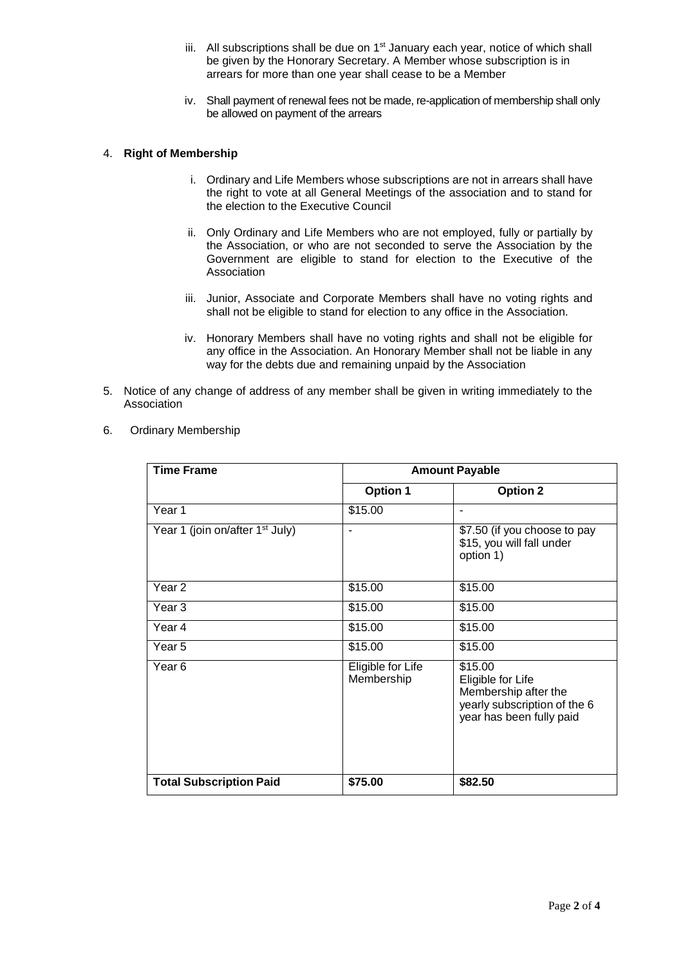- iii. All subscriptions shall be due on  $1<sup>st</sup>$  January each year, notice of which shall be given by the Honorary Secretary. A Member whose subscription is in arrears for more than one year shall cease to be a Member
- iv. Shall payment of renewal fees not be made, re-application of membership shall only be allowed on payment of the arrears

#### 4. **Right of Membership**

- i. Ordinary and Life Members whose subscriptions are not in arrears shall have the right to vote at all General Meetings of the association and to stand for the election to the Executive Council
- ii. Only Ordinary and Life Members who are not employed, fully or partially by the Association, or who are not seconded to serve the Association by the Government are eligible to stand for election to the Executive of the Association
- iii. Junior, Associate and Corporate Members shall have no voting rights and shall not be eligible to stand for election to any office in the Association.
- iv. Honorary Members shall have no voting rights and shall not be eligible for any office in the Association. An Honorary Member shall not be liable in any way for the debts due and remaining unpaid by the Association
- 5. Notice of any change of address of any member shall be given in writing immediately to the Association

| <b>Time Frame</b>                           | <b>Amount Payable</b>           |                                                                                                                  |  |  |  |
|---------------------------------------------|---------------------------------|------------------------------------------------------------------------------------------------------------------|--|--|--|
|                                             | <b>Option 1</b>                 | <b>Option 2</b>                                                                                                  |  |  |  |
| Year 1                                      | \$15.00                         |                                                                                                                  |  |  |  |
| Year 1 (join on/after 1 <sup>st</sup> July) |                                 | \$7.50 (if you choose to pay<br>\$15, you will fall under<br>option 1)                                           |  |  |  |
| Year <sub>2</sub>                           | \$15.00                         | \$15.00                                                                                                          |  |  |  |
| Year 3                                      | \$15.00                         | \$15.00                                                                                                          |  |  |  |
| Year 4                                      | \$15.00                         | \$15.00                                                                                                          |  |  |  |
| Year 5                                      | \$15.00                         | \$15.00                                                                                                          |  |  |  |
| Year 6                                      | Eligible for Life<br>Membership | \$15.00<br>Eligible for Life<br>Membership after the<br>yearly subscription of the 6<br>year has been fully paid |  |  |  |
| <b>Total Subscription Paid</b>              | \$75.00                         | \$82.50                                                                                                          |  |  |  |

6. Ordinary Membership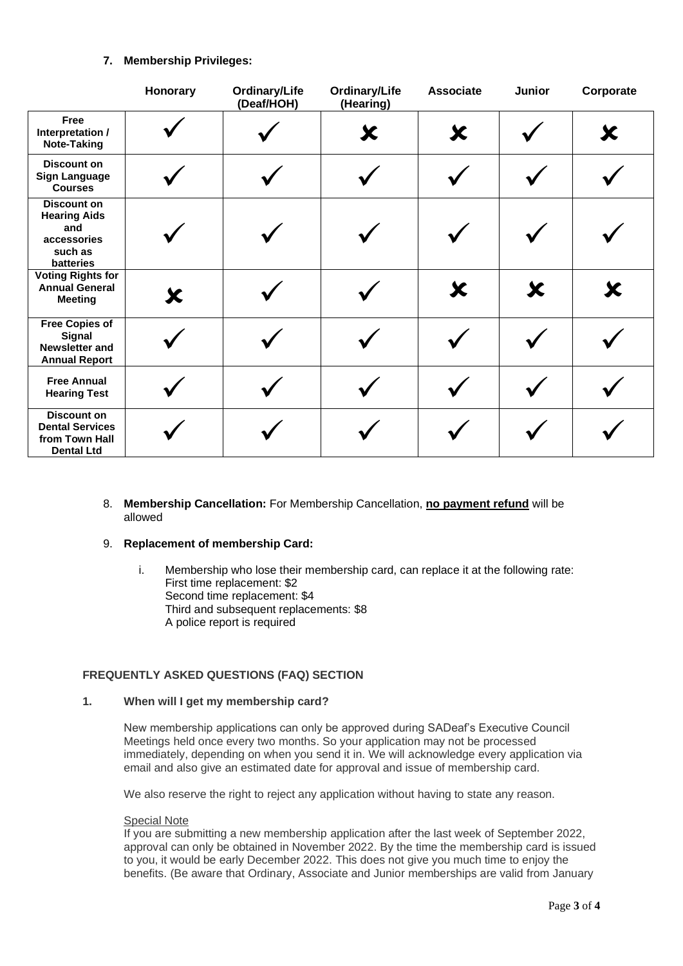## **7. Membership Privileges:**

|                                                                                         | Honorary | Ordinary/Life<br>(Deaf/HOH) | Ordinary/Life<br>(Hearing) | <b>Associate</b> | Junior | Corporate |
|-----------------------------------------------------------------------------------------|----------|-----------------------------|----------------------------|------------------|--------|-----------|
| Free<br>Interpretation /<br>Note-Taking                                                 |          |                             | Х                          | Х                |        | Х         |
| <b>Discount on</b><br><b>Sign Language</b><br><b>Courses</b>                            |          |                             |                            |                  |        |           |
| <b>Discount on</b><br><b>Hearing Aids</b><br>and<br>accessories<br>such as<br>batteries |          |                             |                            |                  |        |           |
| <b>Voting Rights for</b><br><b>Annual General</b><br><b>Meeting</b>                     | X        |                             |                            | Х                | Х      | Х         |
| <b>Free Copies of</b><br><b>Signal</b><br><b>Newsletter and</b><br><b>Annual Report</b> |          |                             |                            |                  |        |           |
| <b>Free Annual</b><br><b>Hearing Test</b>                                               |          |                             |                            |                  |        |           |
| <b>Discount on</b><br><b>Dental Services</b><br>from Town Hall<br><b>Dental Ltd</b>     |          |                             |                            |                  |        |           |

8. **Membership Cancellation:** For Membership Cancellation, **no payment refund** will be allowed

## 9. **Replacement of membership Card:**

i. Membership who lose their membership card, can replace it at the following rate: First time replacement: \$2 Second time replacement: \$4 Third and subsequent replacements: \$8 A police report is required

## **FREQUENTLY ASKED QUESTIONS (FAQ) SECTION**

### **1. When will I get my membership card?**

New membership applications can only be approved during SADeaf's Executive Council Meetings held once every two months. So your application may not be processed immediately, depending on when you send it in. We will acknowledge every application via email and also give an estimated date for approval and issue of membership card.

We also reserve the right to reject any application without having to state any reason.

#### Special Note

If you are submitting a new membership application after the last week of September 2022, approval can only be obtained in November 2022. By the time the membership card is issued to you, it would be early December 2022. This does not give you much time to enjoy the benefits. (Be aware that Ordinary, Associate and Junior memberships are valid from January